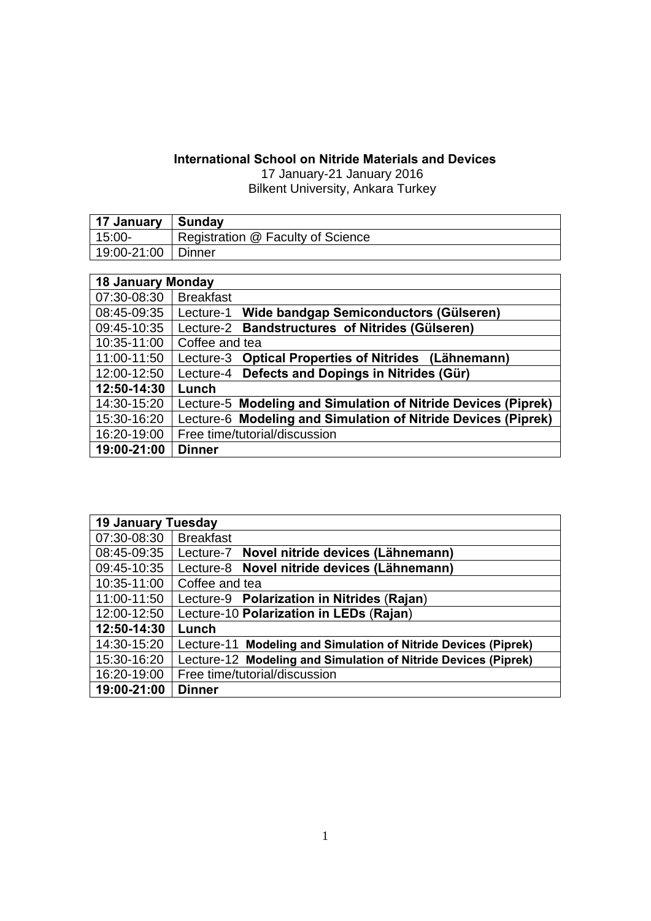## **International School on Nitride Materials and Devices**

17 January-21 January 2016 Bilkent University, Ankara Turkey

| 17 January   Sunday |                                   |
|---------------------|-----------------------------------|
| 15:00-              | Registration @ Faculty of Science |
| 19:00-21:00 Dinner  |                                   |

| <b>18 January Monday</b> |                                                               |  |
|--------------------------|---------------------------------------------------------------|--|
| 07:30-08:30              | <b>Breakfast</b>                                              |  |
| 08:45-09:35              | Lecture-1 Wide bandgap Semiconductors (Gülseren)              |  |
| 09:45-10:35              | Lecture-2 Bandstructures of Nitrides (Gülseren)               |  |
| 10:35-11:00              | Coffee and tea                                                |  |
| 11:00-11:50              | Lecture-3 Optical Properties of Nitrides (Lähnemann)          |  |
| 12:00-12:50              | Lecture-4 Defects and Dopings in Nitrides (Gür)               |  |
| 12:50-14:30              | Lunch                                                         |  |
| 14:30-15:20              | Lecture-5 Modeling and Simulation of Nitride Devices (Piprek) |  |
| 15:30-16:20              | Lecture-6 Modeling and Simulation of Nitride Devices (Piprek) |  |
| 16:20-19:00              | Free time/tutorial/discussion                                 |  |
| 19:00-21:00              | <b>Dinner</b>                                                 |  |

| <b>19 January Tuesday</b> |                                                                |
|---------------------------|----------------------------------------------------------------|
| 07:30-08:30               | <b>Breakfast</b>                                               |
| 08:45-09:35               | Lecture-7 Novel nitride devices (Lähnemann)                    |
| 09:45-10:35               | Lecture-8 Novel nitride devices (Lähnemann)                    |
| 10:35-11:00               | Coffee and tea                                                 |
| 11:00-11:50               | Lecture-9 Polarization in Nitrides (Rajan)                     |
| 12:00-12:50               | Lecture-10 Polarization in LEDs (Rajan)                        |
| 12:50-14:30               | Lunch                                                          |
| 14:30-15:20               | Lecture-11 Modeling and Simulation of Nitride Devices (Piprek) |
| 15:30-16:20               | Lecture-12 Modeling and Simulation of Nitride Devices (Piprek) |
| 16:20-19:00               | Free time/tutorial/discussion                                  |
| 19:00-21:00               | <b>Dinner</b>                                                  |